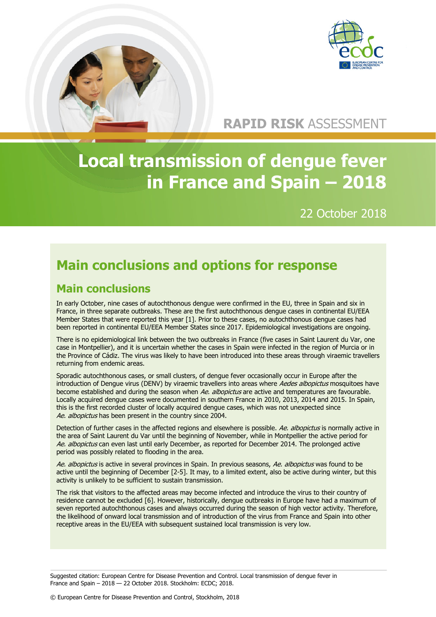

### **RAPID RISK** ASSESSMENT

# **Local transmission of dengue fever in France and Spain – 2018**

### 22 October 2018

## **Main conclusions and options for response**

### **Main conclusions**

In early October, nine cases of autochthonous dengue were confirmed in the EU, three in Spain and six in France, in three separate outbreaks. These are the first autochthonous dengue cases in continental EU/EEA Member States that were reported this year [1]. Prior to these cases, no autochthonous dengue cases had been reported in continental EU/EEA Member States since 2017. Epidemiological investigations are ongoing.

There is no epidemiological link between the two outbreaks in France (five cases in Saint Laurent du Var, one case in Montpellier), and it is uncertain whether the cases in Spain were infected in the region of Murcia or in the Province of Cádiz. The virus was likely to have been introduced into these areas through viraemic travellers returning from endemic areas.

Sporadic autochthonous cases, or small clusters, of dengue fever occasionally occur in Europe after the introduction of Dengue virus (DENV) by viraemic travellers into areas where Aedes albopictus mosquitoes have become established and during the season when Ae. albopictus are active and temperatures are favourable. Locally acquired dengue cases were documented in southern France in 2010, 2013, 2014 and 2015. In Spain, this is the first recorded cluster of locally acquired dengue cases, which was not unexpected since Ae. albopictus has been present in the country since 2004.

Detection of further cases in the affected regions and elsewhere is possible. Ae, albopictus is normally active in the area of Saint Laurent du Var until the beginning of November, while in Montpellier the active period for Ae. albopictus can even last until early December, as reported for December 2014. The prolonged active period was possibly related to flooding in the area.

Ae. albopictus is active in several provinces in Spain. In previous seasons, Ae. albopictus was found to be active until the beginning of December [2-5]. It may, to a limited extent, also be active during winter, but this activity is unlikely to be sufficient to sustain transmission.

The risk that visitors to the affected areas may become infected and introduce the virus to their country of residence cannot be excluded [6]. However, historically, dengue outbreaks in Europe have had a maximum of seven reported autochthonous cases and always occurred during the season of high vector activity. Therefore, the likelihood of onward local transmission and of introduction of the virus from France and Spain into other receptive areas in the EU/EEA with subsequent sustained local transmission is very low.

Suggested citation: European Centre for Disease Prevention and Control. Local transmission of dengue fever in France and Spain – 2018 — 22 October 2018. Stockholm: ECDC; 2018.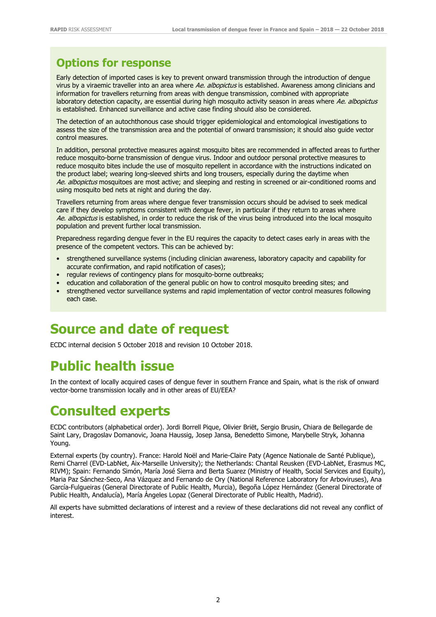### **Options for response**

Early detection of imported cases is key to prevent onward transmission through the introduction of dengue virus by a viraemic traveller into an area where Ae. albopictus is established. Awareness among clinicians and information for travellers returning from areas with dengue transmission, combined with appropriate laboratory detection capacity, are essential during high mosquito activity season in areas where Ae. albopictus is established. Enhanced surveillance and active case finding should also be considered.

The detection of an autochthonous case should trigger epidemiological and entomological investigations to assess the size of the transmission area and the potential of onward transmission; it should also guide vector control measures.

In addition, personal protective measures against mosquito bites are recommended in affected areas to further reduce mosquito-borne transmission of dengue virus. Indoor and outdoor personal protective measures to reduce mosquito bites include the use of mosquito repellent in accordance with the instructions indicated on the product label; wearing long-sleeved shirts and long trousers, especially during the daytime when Ae. albopictus mosquitoes are most active; and sleeping and resting in screened or air-conditioned rooms and using mosquito bed nets at night and during the day.

Travellers returning from areas where dengue fever transmission occurs should be advised to seek medical care if they develop symptoms consistent with dengue fever, in particular if they return to areas where Ae. albopictus is established, in order to reduce the risk of the virus being introduced into the local mosquito population and prevent further local transmission.

Preparedness regarding dengue fever in the EU requires the capacity to detect cases early in areas with the presence of the competent vectors. This can be achieved by:

- strengthened surveillance systems (including clinician awareness, laboratory capacity and capability for accurate confirmation, and rapid notification of cases);
- regular reviews of contingency plans for mosquito-borne outbreaks;
- education and collaboration of the general public on how to control mosquito breeding sites; and
- strengthened vector surveillance systems and rapid implementation of vector control measures following each case.

### **Source and date of request**

ECDC internal decision 5 October 2018 and revision 10 October 2018.

## **Public health issue**

In the context of locally acquired cases of dengue fever in southern France and Spain, what is the risk of onward vector-borne transmission locally and in other areas of EU/EEA?

### **Consulted experts**

ECDC contributors (alphabetical order). Jordi Borrell Pique, Olivier Briët, Sergio Brusin, Chiara de Bellegarde de Saint Lary, Dragoslav Domanovic, Joana Haussig, Josep Jansa, Benedetto Simone, Marybelle Stryk, Johanna Young.

External experts (by country). France: Harold Noël and Marie-Claire Paty (Agence Nationale de Santé Publique), Remi Charrel (EVD-LabNet, Aix-Marseille University); the Netherlands: Chantal Reusken (EVD-LabNet, Erasmus MC, RIVM); Spain: Fernando Simón, María José Sierra and Berta Suarez (Ministry of Health, Social Services and Equity), Maria Paz Sánchez-Seco, Ana Vázquez and Fernando de Ory (National Reference Laboratory for Arboviruses), Ana García-Fulgueiras (General Directorate of Public Health, Murcia), Begoña López Hernández (General Directorate of Public Health, Andalucía), María Ángeles Lopaz (General Directorate of Public Health, Madrid).

All experts have submitted declarations of interest and a review of these declarations did not reveal any conflict of interest.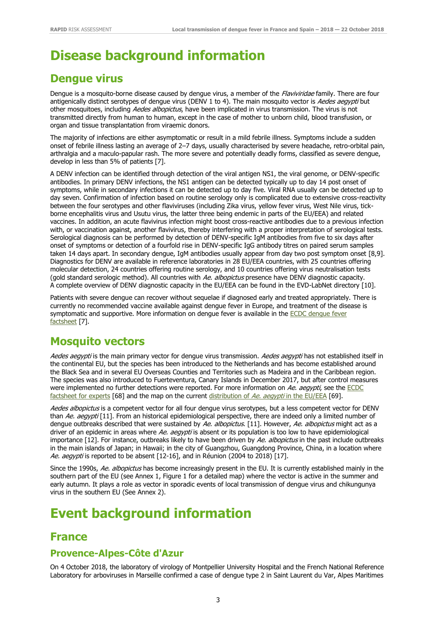## **Disease background information**

### **Dengue virus**

Dengue is a mosquito-borne disease caused by dengue virus, a member of the *Flaviviridae* family. There are four antigenically distinct serotypes of dengue virus (DENV 1 to 4). The main mosquito vector is *Aedes aegypti* but other mosquitoes, including Aedes albopictus, have been implicated in virus transmission. The virus is not transmitted directly from human to human, except in the case of mother to unborn child, blood transfusion, or organ and tissue transplantation from viraemic donors.

The majority of infections are either asymptomatic or result in a mild febrile illness. Symptoms include a sudden onset of febrile illness lasting an average of 2–7 days, usually characterised by severe headache, retro-orbital pain, arthralgia and a maculo-papular rash. The more severe and potentially deadly forms, classified as severe dengue, develop in less than 5% of patients [7].

A DENV infection can be identified through detection of the viral antigen NS1, the viral genome, or DENV-specific antibodies. In primary DENV infections, the NS1 antigen can be detected typically up to day 14 post onset of symptoms, while in secondary infections it can be detected up to day five. Viral RNA usually can be detected up to day seven. Confirmation of infection based on routine serology only is complicated due to extensive cross-reactivity between the four serotypes and other flaviviruses (including Zika virus, yellow fever virus, West Nile virus, tickborne encephalitis virus and Usutu virus, the latter three being endemic in parts of the EU/EEA) and related vaccines. In addition, an acute flavivirus infection might boost cross-reactive antibodies due to a previous infection with, or vaccination against, another flavivirus, thereby interfering with a proper interpretation of serological tests. Serological diagnosis can be performed by detection of DENV-specific IgM antibodies from five to six days after onset of symptoms or detection of a fourfold rise in DENV-specific IgG antibody titres on paired serum samples taken 14 days apart. In secondary dengue, IgM antibodies usually appear from day two post symptom onset [8,9]. Diagnostics for DENV are available in reference laboratories in 28 EU/EEA countries, with 25 countries offering molecular detection, 24 countries offering routine serology, and 10 countries offering virus neutralisation tests (gold standard serologic method). All countries with Ae. albopictus presence have DENV diagnostic capacity. A complete overview of DENV diagnostic capacity in the EU/EEA can be found in the EVD-LabNet directory [10].

Patients with severe dengue can recover without sequelae if diagnosed early and treated appropriately. There is currently no recommended vaccine available against dengue fever in Europe, and treatment of the disease is symptomatic and supportive. More information on dengue fever is available in the ECDC dengue fever [factsheet](https://ecdc.europa.eu/en/dengue-fever/facts/factsheet) [7].

#### **Mosquito vectors**

Aedes aegypti is the main primary vector for dengue virus transmission. Aedes aegypti has not established itself in the continental EU, but the species has been introduced to the Netherlands and has become established around the Black Sea and in several EU Overseas Counties and Territories such as Madeira and in the Caribbean region. The species was also introduced to Fuerteventura, Canary Islands in December 2017, but after control measures were implemented no further detections were reported. For more information on Ae. aegypti, see the ECDC [factsheet for experts](https://ecdc.europa.eu/en/disease-vectors/facts/mosquito-factsheets/aedes-aegypti) [68] and the map on the current [distribution of](https://ecdc.europa.eu/en/publications-data/aedes-aegypti-current-known-distribution-june-2018) Ae. aegypti in the EU/EEA [69].

Aedes albopictus is a competent vector for all four dengue virus serotypes, but a less competent vector for DENV than Ae. aegypti [11]. From an historical epidemiological perspective, there are indeed only a limited number of dengue outbreaks described that were sustained by Ae. albopictus. [11]. However, Ae. albopictus might act as a driver of an epidemic in areas where Ae. aegypti is absent or its population is too low to have epidemiological importance [12]. For instance, outbreaks likely to have been driven by Ae. albopictus in the past include outbreaks in the main islands of Japan; in Hawaii; in the city of Guangzhou, Guangdong Province, China, in a location where Ae. aegypti is reported to be absent [12-16], and in Réunion (2004 to 2018) [17].

Since the 1990s, Ae. albopictus has become increasingly present in the EU. It is currently established mainly in the southern part of the EU (see Annex 1, Figure 1 for a detailed map) where the vector is active in the summer and early autumn. It plays a role as vector in sporadic events of local transmission of dengue virus and chikungunya virus in the southern EU (See Annex 2).

### **Event background information**

#### **France**

#### **Provence-Alpes-Côte d'Azur**

On 4 October 2018, the laboratory of virology of Montpellier University Hospital and the French National Reference Laboratory for arboviruses in Marseille confirmed a case of dengue type 2 in Saint Laurent du Var, Alpes Maritimes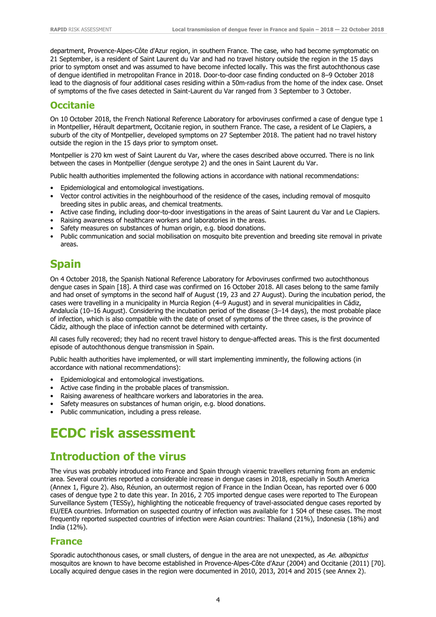department, Provence-Alpes-Côte d'Azur region, in southern France. The case, who had become symptomatic on 21 September, is a resident of Saint Laurent du Var and had no travel history outside the region in the 15 days prior to symptom onset and was assumed to have become infected locally. This was the first autochthonous case of dengue identified in metropolitan France in 2018. Door-to-door case finding conducted on 8–9 October 2018 lead to the diagnosis of four additional cases residing within a 50m-radius from the home of the index case. Onset of symptoms of the five cases detected in Saint-Laurent du Var ranged from 3 September to 3 October.

#### **Occitanie**

On 10 October 2018, the French National Reference Laboratory for arboviruses confirmed a case of dengue type 1 in Montpellier, Hérault department, Occitanie region, in southern France. The case, a resident of Le Clapiers, a suburb of the city of Montpellier, developed symptoms on 27 September 2018. The patient had no travel history outside the region in the 15 days prior to symptom onset.

Montpellier is 270 km west of Saint Laurent du Var, where the cases described above occurred. There is no link between the cases in Montpellier (dengue serotype 2) and the ones in Saint Laurent du Var.

Public health authorities implemented the following actions in accordance with national recommendations:

- Epidemiological and entomological investigations.
- Vector control activities in the neighbourhood of the residence of the cases, including removal of mosquito breeding sites in public areas, and chemical treatments.
- Active case finding, including door-to-door investigations in the areas of Saint Laurent du Var and Le Clapiers.
- Raising awareness of healthcare workers and laboratories in the areas.
- Safety measures on substances of human origin, e.g. blood donations.
- Public communication and social mobilisation on mosquito bite prevention and breeding site removal in private areas.

### **Spain**

On 4 October 2018, the Spanish National Reference Laboratory for Arboviruses confirmed two autochthonous dengue cases in Spain [18]. A third case was confirmed on 16 October 2018. All cases belong to the same family and had onset of symptoms in the second half of August (19, 23 and 27 August). During the incubation period, the cases were travelling in a municipality in Murcia Region (4–9 August) and in several municipalities in Cádiz, Andalucía (10–16 August). Considering the incubation period of the disease (3–14 days), the most probable place of infection, which is also compatible with the date of onset of symptoms of the three cases, is the province of Cádiz, although the place of infection cannot be determined with certainty.

All cases fully recovered; they had no recent travel history to dengue-affected areas. This is the first documented episode of autochthonous dengue transmission in Spain.

Public health authorities have implemented, or will start implementing imminently, the following actions (in accordance with national recommendations):

- Epidemiological and entomological investigations.
- Active case finding in the probable places of transmission.
- Raising awareness of healthcare workers and laboratories in the area.
- Safety measures on substances of human origin, e.g. blood donations.
- Public communication, including a press release.

## **ECDC risk assessment**

#### **Introduction of the virus**

The virus was probably introduced into France and Spain through viraemic travellers returning from an endemic area. Several countries reported a considerable increase in dengue cases in 2018, especially in South America (Annex 1, Figure 2). Also, Réunion, an outermost region of France in the Indian Ocean, has reported over 6 000 cases of dengue type 2 to date this year. In 2016, 2 705 imported dengue cases were reported to The European Surveillance System (TESSy), highlighting the noticeable frequency of travel-associated dengue cases reported by EU/EEA countries. Information on suspected country of infection was available for 1 504 of these cases. The most frequently reported suspected countries of infection were Asian countries: Thailand (21%), Indonesia (18%) and India (12%).

#### **France**

Sporadic autochthonous cases, or small clusters, of dengue in the area are not unexpected, as Ae. albopictus mosquitos are known to have become established in Provence-Alpes-Côte d'Azur (2004) and Occitanie (2011) [70]. Locally acquired dengue cases in the region were documented in 2010, 2013, 2014 and 2015 (see Annex 2).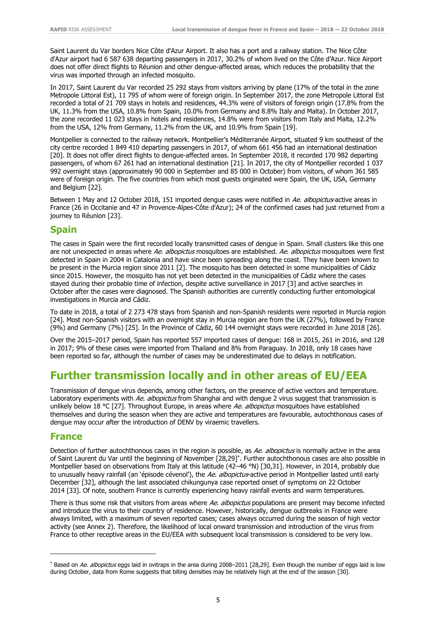Saint Laurent du Var borders Nice Côte d'Azur Airport. It also has a port and a railway station. The Nice Côte d'Azur airport had 6 587 638 departing passengers in 2017, 30.2% of whom lived on the Côte d'Azur. Nice Airport does not offer direct flights to Réunion and other dengue-affected areas, which reduces the probability that the virus was imported through an infected mosquito.

In 2017, Saint Laurent du Var recorded 25 292 stays from visitors arriving by plane (17% of the total in the zone Metropole Littoral Est), 11 795 of whom were of foreign origin. In September 2017, the zone Metropole Littoral Est recorded a total of 21 709 stays in hotels and residences, 44.3% were of visitors of foreign origin (17.8% from the UK, 11.3% from the USA, 10.8% from Spain, 10.0% from Germany and 8.8% Italy and Malta). In October 2017, the zone recorded 11 023 stays in hotels and residences, 14.8% were from visitors from Italy and Malta, 12.2% from the USA, 12% from Germany, 11.2% from the UK, and 10.9% from Spain [19].

Montpellier is connected to the railway network. Montpellier's Méditerranée Airport, situated 9 km southeast of the city centre recorded 1 849 410 departing passengers in 2017, of whom 661 456 had an international destination [20]. It does not offer direct flights to dengue-affected areas. In September 2018, it recorded 170 982 departing passengers, of whom 67 261 had an international destination [21]. In 2017, the city of Montpellier recorded 1 037 992 overnight stays (approximately 90 000 in September and 85 000 in October) from visitors, of whom 361 585 were of foreign origin. The five countries from which most guests originated were Spain, the UK, USA, Germany and Belgium [22].

Between 1 May and 12 October 2018, 151 imported dengue cases were notified in Ae. albopictus-active areas in France (26 in Occitanie and 47 in Provence-Alpes-Côte d'Azur); 24 of the confirmed cases had just returned from a journey to Réunion [23].

#### **Spain**

The cases in Spain were the first recorded locally transmitted cases of dengue in Spain. Small clusters like this one are not unexpected in areas where Ae. albopictus mosquitoes are established. Ae. albopictus mosquitoes were first detected in Spain in 2004 in Catalonia and have since been spreading along the coast. They have been known to be present in the Murcia region since 2011 [2]. The mosquito has been detected in some municipalities of Cádiz since 2015. However, the mosquito has not yet been detected in the municipalities of Cádiz where the cases stayed during their probable time of infection, despite active surveillance in 2017 [3] and active searches in October after the cases were diagnosed. The Spanish authorities are currently conducting further entomological investigations in Murcia and Cádiz.

To date in 2018, a total of 2 273 478 stays from Spanish and non-Spanish residents were reported in Murcia region [24]. Most non-Spanish visitors with an overnight stay in Murcia region are from the UK (27%), followed by France (9%) and Germany (7%) [25]. In the Province of Cádiz, 60 144 overnight stays were recorded in June 2018 [26].

Over the 2015–2017 period, Spain has reported 557 imported cases of dengue: 168 in 2015, 261 in 2016, and 128 in 2017; 9% of these cases were imported from Thailand and 8% from Paraguay. In 2018, only 18 cases have been reported so far, although the number of cases may be underestimated due to delays in notification.

### **Further transmission locally and in other areas of EU/EEA**

Transmission of dengue virus depends, among other factors, on the presence of active vectors and temperature. Laboratory experiments with Ae. albopictus from Shanghai and with dengue 2 virus suggest that transmission is unlikely below 18 °C [27]. Throughout Europe, in areas where Ae. albopictus mosquitoes have established themselves and during the season when they are active and temperatures are favourable, autochthonous cases of dengue may occur after the introduction of DENV by viraemic travellers.

#### **France**

-

Detection of further autochthonous cases in the region is possible, as Ae. albopictus is normally active in the area of Saint Laurent du Var until the beginning of November [28,29]\* . Further autochthonous cases are also possible in Montpellier based on observations from Italy at this latitude (42–46 °N) [30,31]. However, in 2014, probably due to unusually heavy rainfall (an 'épisode cévenol'), the Ae. albopictus-active period in Montpellier lasted until early December [32], although the last associated chikungunya case reported onset of symptoms on 22 October 2014 [33]. Of note, southern France is currently experiencing heavy rainfall events and warm temperatures.

There is thus some risk that visitors from areas where Ae. albopictus populations are present may become infected and introduce the virus to their country of residence. However, historically, dengue outbreaks in France were always limited, with a maximum of seven reported cases; cases always occurred during the season of high vector activity (see Annex 2). Therefore, the likelihood of local onward transmission and introduction of the virus from France to other receptive areas in the EU/EEA with subsequent local transmission is considered to be very low.

<sup>\*</sup> Based on Ae. albopictus eggs laid in ovitraps in the area during 2008–2011 [28,29]. Even though the number of eggs laid is low during October, data from Rome suggests that biting densities may be relatively high at the end of the season [30].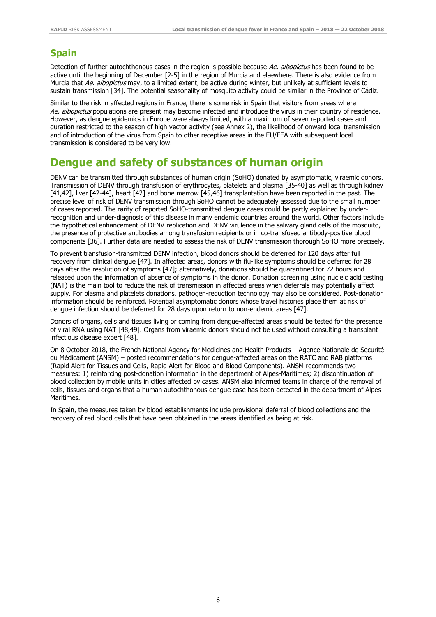#### **Spain**

Detection of further autochthonous cases in the region is possible because Ae. albopictus has been found to be active until the beginning of December [2-5] in the region of Murcia and elsewhere. There is also evidence from Murcia that Ae. albopictus may, to a limited extent, be active during winter, but unlikely at sufficient levels to sustain transmission [34]. The potential seasonality of mosquito activity could be similar in the Province of Cádiz.

Similar to the risk in affected regions in France, there is some risk in Spain that visitors from areas where Ae. albopictus populations are present may become infected and introduce the virus in their country of residence. However, as dengue epidemics in Europe were always limited, with a maximum of seven reported cases and duration restricted to the season of high vector activity (see Annex 2), the likelihood of onward local transmission and of introduction of the virus from Spain to other receptive areas in the EU/EEA with subsequent local transmission is considered to be very low.

### **Dengue and safety of substances of human origin**

DENV can be transmitted through substances of human origin (SoHO) donated by asymptomatic, viraemic donors. Transmission of DENV through transfusion of erythrocytes, platelets and plasma [35-40] as well as through kidney [41,42], liver [42-44], heart [42] and bone marrow [45,46] transplantation have been reported in the past. The precise level of risk of DENV transmission through SoHO cannot be adequately assessed due to the small number of cases reported. The rarity of reported SoHO-transmitted dengue cases could be partly explained by underrecognition and under-diagnosis of this disease in many endemic countries around the world. Other factors include the hypothetical enhancement of DENV replication and DENV virulence in the salivary gland cells of the mosquito, the presence of protective antibodies among transfusion recipients or in co-transfused antibody-positive blood components [36]. Further data are needed to assess the risk of DENV transmission thorough SoHO more precisely.

To prevent transfusion-transmitted DENV infection, blood donors should be deferred for 120 days after full recovery from clinical dengue [47]. In affected areas, donors with flu-like symptoms should be deferred for 28 days after the resolution of symptoms [47]; alternatively, donations should be quarantined for 72 hours and released upon the information of absence of symptoms in the donor. Donation screening using nucleic acid testing (NAT) is the main tool to reduce the risk of transmission in affected areas when deferrals may potentially affect supply. For plasma and platelets donations, pathogen-reduction technology may also be considered. Post-donation information should be reinforced. Potential asymptomatic donors whose travel histories place them at risk of dengue infection should be deferred for 28 days upon return to non-endemic areas [47].

Donors of organs, cells and tissues living or coming from dengue-affected areas should be tested for the presence of viral RNA using NAT [48,49]. Organs from viraemic donors should not be used without consulting a transplant infectious disease expert [48].

On 8 October 2018, the French National Agency for Medicines and Health Products – Agence Nationale de Securité du Médicament (ANSM) – posted recommendations for dengue-affected areas on the RATC and RAB platforms (Rapid Alert for Tissues and Cells, Rapid Alert for Blood and Blood Components). ANSM recommends two measures: 1) reinforcing post-donation information in the department of Alpes-Maritimes; 2) discontinuation of blood collection by mobile units in cities affected by cases. ANSM also informed teams in charge of the removal of cells, tissues and organs that a human autochthonous dengue case has been detected in the department of Alpes-Maritimes.

In Spain, the measures taken by blood establishments include provisional deferral of blood collections and the recovery of red blood cells that have been obtained in the areas identified as being at risk.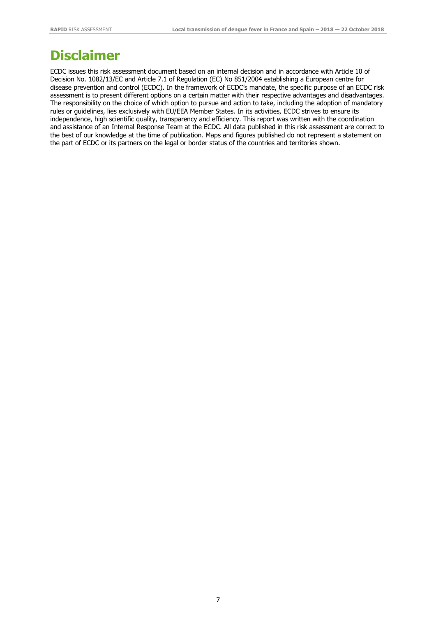## **Disclaimer**

ECDC issues this risk assessment document based on an internal decision and in accordance with Article 10 of Decision No. 1082/13/EC and Article 7.1 of Regulation (EC) No 851/2004 establishing a European centre for disease prevention and control (ECDC). In the framework of ECDC's mandate, the specific purpose of an ECDC risk assessment is to present different options on a certain matter with their respective advantages and disadvantages. The responsibility on the choice of which option to pursue and action to take, including the adoption of mandatory rules or guidelines, lies exclusively with EU/EEA Member States. In its activities, ECDC strives to ensure its independence, high scientific quality, transparency and efficiency. This report was written with the coordination and assistance of an Internal Response Team at the ECDC. All data published in this risk assessment are correct to the best of our knowledge at the time of publication. Maps and figures published do not represent a statement on the part of ECDC or its partners on the legal or border status of the countries and territories shown.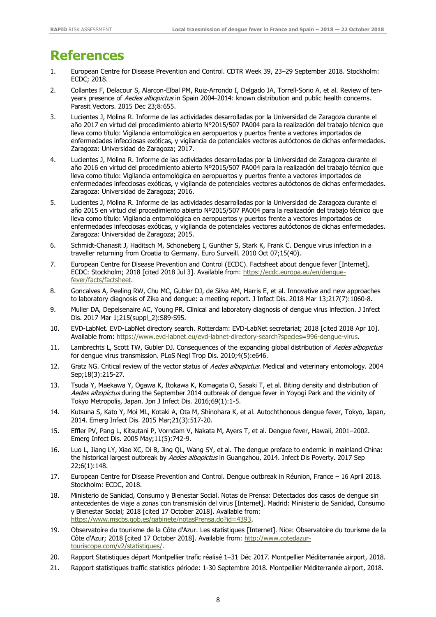## **References**

- 1. European Centre for Disease Prevention and Control. CDTR Week 39, 23–29 September 2018. Stockholm: ECDC; 2018.
- 2. Collantes F, Delacour S, Alarcon-Elbal PM, Ruiz-Arrondo I, Delgado JA, Torrell-Sorio A, et al. Review of tenyears presence of Aedes albopictus in Spain 2004-2014: known distribution and public health concerns. Parasit Vectors. 2015 Dec 23;8:655.
- 3. Lucientes J, Molina R. Informe de las actividades desarrolladas por la Universidad de Zaragoza durante el año 2017 en virtud del procedimiento abierto N°2015/507 PA004 para la realización del trabajo técnico que lleva como título: Vigilancia entomológica en aeropuertos y puertos frente a vectores importados de enfermedades infecciosas exóticas, y vigilancia de potenciales vectores autóctonos de dichas enfermedades. Zaragoza: Universidad de Zaragoza; 2017.
- 4. Lucientes J, Molina R. Informe de las actividades desarrolladas por la Universidad de Zaragoza durante el año 2016 en virtud del procedimiento abierto Nº2015/507 PA004 para la realización del trabajo técnico que lleva como título: Vigilancia entomológica en aeropuertos y puertos frente a vectores importados de enfermedades infecciosas exóticas, y vigilancia de potenciales vectores autóctonos de dichas enfermedades. Zaragoza: Universidad de Zaragoza; 2016.
- 5. Lucientes J, Molina R. Informe de las actividades desarrolladas por la Universidad de Zaragoza durante el año 2015 en virtud del procedimiento abierto Nº2015/507 PA004 para la realización del trabajo técnico que lleva como título: Vigilancia entomológica en aeropuertos y puertos frente a vectores importados de enfermedades infecciosas exóticas, y vigilancia de potenciales vectores autóctonos de dichas enfermedades. Zaragoza: Universidad de Zaragoza; 2015.
- 6. Schmidt-Chanasit J, Haditsch M, Schoneberg I, Gunther S, Stark K, Frank C. Dengue virus infection in a traveller returning from Croatia to Germany. Euro Surveill. 2010 Oct 07;15(40).
- 7. European Centre for Disease Prevention and Control (ECDC). Factsheet about dengue fever [Internet]. ECDC: Stockholm; 2018 [cited 2018 Jul 3]. Available from: [https://ecdc.europa.eu/en/dengue](https://ecdc.europa.eu/en/dengue-fever/facts/factsheet)[fever/facts/factsheet.](https://ecdc.europa.eu/en/dengue-fever/facts/factsheet)
- 8. Goncalves A, Peeling RW, Chu MC, Gubler DJ, de Silva AM, Harris E, et al. Innovative and new approaches to laboratory diagnosis of Zika and dengue: a meeting report. J Infect Dis. 2018 Mar 13;217(7):1060-8.
- 9. Muller DA, Depelsenaire AC, Young PR. Clinical and laboratory diagnosis of dengue virus infection. J Infect Dis. 2017 Mar 1;215(suppl\_2):S89-S95.
- 10. EVD-LabNet. EVD-LabNet directory search. Rotterdam: EVD-LabNet secretariat; 2018 [cited 2018 Apr 10]. Available from: [https://www.evd-labnet.eu/evd-labnet-directory-search?species=996-dengue-virus.](https://www.evd-labnet.eu/evd-labnet-directory-search?species=996-dengue-virus)
- 11. Lambrechts L, Scott TW, Gubler DJ. Consequences of the expanding global distribution of Aedes albopictus for dengue virus transmission. PLoS Negl Trop Dis. 2010;4(5):e646.
- 12. Gratz NG. Critical review of the vector status of *Aedes albopictus*. Medical and veterinary entomology. 2004 Sep;18(3):215-27.
- 13. Tsuda Y, Maekawa Y, Ogawa K, Itokawa K, Komagata O, Sasaki T, et al. Biting density and distribution of Aedes albopictus during the September 2014 outbreak of dengue fever in Yoyogi Park and the vicinity of Tokyo Metropolis, Japan. Jpn J Infect Dis. 2016;69(1):1-5.
- 14. Kutsuna S, Kato Y, Moi ML, Kotaki A, Ota M, Shinohara K, et al. Autochthonous dengue fever, Tokyo, Japan, 2014. Emerg Infect Dis. 2015 Mar;21(3):517-20.
- 15. Effler PV, Pang L, Kitsutani P, Vorndam V, Nakata M, Ayers T, et al. Dengue fever, Hawaii, 2001–2002. Emerg Infect Dis. 2005 May;11(5):742-9.
- 16. Luo L, Jiang LY, Xiao XC, Di B, Jing QL, Wang SY, et al. The dengue preface to endemic in mainland China: the historical largest outbreak by Aedes albopictus in Guangzhou, 2014. Infect Dis Poverty. 2017 Sep 22;6(1):148.
- 17. European Centre for Disease Prevention and Control. Dengue outbreak in Réunion, France 16 April 2018. Stockholm: ECDC, 2018.
- 18. Ministerio de Sanidad, Consumo y Bienestar Social. Notas de Prensa: Detectados dos casos de dengue sin antecedentes de viaje a zonas con transmisión del virus [Internet]. Madrid: Ministerio de Sanidad, Consumo y Bienestar Social; 2018 [cited 17 October 2018]. Available from: [https://www.mscbs.gob.es/gabinete/notasPrensa.do?id=4393.](https://www.mscbs.gob.es/gabinete/notasPrensa.do?id=4393)
- 19. Observatoire du tourisme de la Côte d'Azur. Les statistiques [Internet]. Nice: Observatoire du tourisme de la Côte d'Azur; 2018 [cited 17 October 2018]. Available from: [http://www.cotedazur](http://www.cotedazur-touriscope.com/v2/statistiques/)[touriscope.com/v2/statistiques/.](http://www.cotedazur-touriscope.com/v2/statistiques/)
- 20. Rapport Statistiques départ Montpellier trafic réalisé 1–31 Déc 2017. Montpellier Méditerranée airport, 2018.
- 21. Rapport statistiques traffic statistics période: 1-30 Septembre 2018. Montpellier Méditerranée airport, 2018.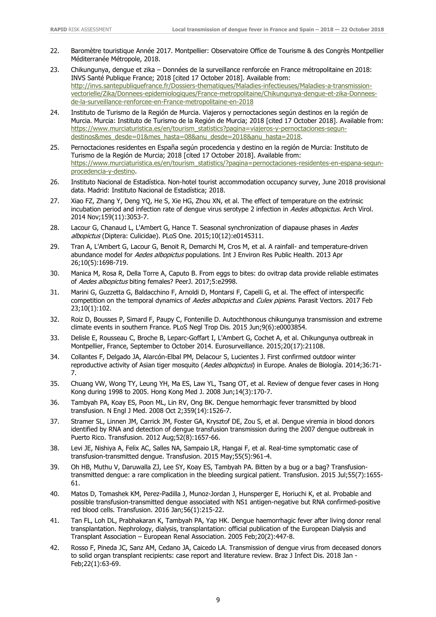- 22. Baromètre touristique Année 2017. Montpellier: Observatoire Office de Tourisme & des Congrès Montpellier Méditerranée Métropole, 2018.
- 23. Chikungunya, dengue et zika Données de la surveillance renforcée en France métropolitaine en 2018: INVS Santé Publique France; 2018 [cited 17 October 2018]. Available from: [http://invs.santepubliquefrance.fr/Dossiers-thematiques/Maladies-infectieuses/Maladies-a-transmission](http://invs.santepubliquefrance.fr/Dossiers-thematiques/Maladies-infectieuses/Maladies-a-transmission-vectorielle/Zika/Donnees-epidemiologiques/France-metropolitaine/Chikungunya-dengue-et-zika-Donnees-de-la-surveillance-renforcee-en-France-metropolitaine-en-2018)[vectorielle/Zika/Donnees-epidemiologiques/France-metropolitaine/Chikungunya-dengue-et-zika-Donnees](http://invs.santepubliquefrance.fr/Dossiers-thematiques/Maladies-infectieuses/Maladies-a-transmission-vectorielle/Zika/Donnees-epidemiologiques/France-metropolitaine/Chikungunya-dengue-et-zika-Donnees-de-la-surveillance-renforcee-en-France-metropolitaine-en-2018)[de-la-surveillance-renforcee-en-France-metropolitaine-en-2018](http://invs.santepubliquefrance.fr/Dossiers-thematiques/Maladies-infectieuses/Maladies-a-transmission-vectorielle/Zika/Donnees-epidemiologiques/France-metropolitaine/Chikungunya-dengue-et-zika-Donnees-de-la-surveillance-renforcee-en-France-metropolitaine-en-2018)
- 24. Instituto de Turismo de la Región de Murcia. Viajeros y pernoctaciones según destinos en la región de Murcia. Murcia: Instituto de Turismo de la Región de Murcia; 2018 [cited 17 October 2018]. Available from: [https://www.murciaturistica.es/en/tourism\\_statistics?pagina=viajeros-y-pernoctaciones-segun](https://www.murciaturistica.es/en/tourism_statistics?pagina=viajeros-y-pernoctaciones-segun-destinos&mes_desde=01&mes_hasta=08&anu_desde=2018&anu_hasta=2018)[destinos&mes\\_desde=01&mes\\_hasta=08&anu\\_desde=2018&anu\\_hasta=2018.](https://www.murciaturistica.es/en/tourism_statistics?pagina=viajeros-y-pernoctaciones-segun-destinos&mes_desde=01&mes_hasta=08&anu_desde=2018&anu_hasta=2018)
- 25. Pernoctaciones residentes en España según procedencia y destino en la región de Murcia: Instituto de Turismo de la Región de Murcia; 2018 [cited 17 October 2018]. Available from: [https://www.murciaturistica.es/en/tourism\\_statistics/?pagina=pernoctaciones-residentes-en-espana-segun](https://www.murciaturistica.es/en/tourism_statistics/?pagina=pernoctaciones-residentes-en-espana-segun-procedencia-y-destino)[procedencia-y-destino.](https://www.murciaturistica.es/en/tourism_statistics/?pagina=pernoctaciones-residentes-en-espana-segun-procedencia-y-destino)
- 26. Instituto Nacional de Estadística. Non-hotel tourist accommodation occupancy survey, June 2018 provisional data. Madrid: Instituto Nacional de Estadística; 2018.
- 27. Xiao FZ, Zhang Y, Deng YQ, He S, Xie HG, Zhou XN, et al. The effect of temperature on the extrinsic incubation period and infection rate of dengue virus serotype 2 infection in Aedes albopictus. Arch Virol. 2014 Nov;159(11):3053-7.
- 28. Lacour G, Chanaud L, L'Ambert G, Hance T. Seasonal synchronization of diapause phases in Aedes albopictus (Diptera: Culicidae). PLoS One. 2015;10(12):e0145311.
- 29. Tran A, L'Ambert G, Lacour G, Benoit R, Demarchi M, Cros M, et al. A rainfall- and temperature-driven abundance model for Aedes albopictus populations. Int J Environ Res Public Health. 2013 Apr 26;10(5):1698-719.
- 30. Manica M, Rosa R, Della Torre A, Caputo B. From eggs to bites: do ovitrap data provide reliable estimates of Aedes albopictus biting females? PeerJ. 2017;5:e2998.
- 31. Marini G, Guzzetta G, Baldacchino F, Arnoldi D, Montarsi F, Capelli G, et al. The effect of interspecific competition on the temporal dynamics of Aedes albopictus and Culex pipiens. Parasit Vectors. 2017 Feb 23;10(1):102.
- 32. Roiz D, Bousses P, Simard F, Paupy C, Fontenille D. Autochthonous chikungunya transmission and extreme climate events in southern France. PLoS Negl Trop Dis. 2015 Jun;9(6):e0003854.
- 33. Delisle E, Rousseau C, Broche B, Leparc-Goffart I, L'Ambert G, Cochet A, et al. Chikungunya outbreak in Montpellier, France, September to October 2014. Eurosurveillance. 2015;20(17):21108.
- 34. Collantes F, Delgado JA, Alarcón-Elbal PM, Delacour S, Lucientes J. First confirmed outdoor winter reproductive activity of Asian tiger mosquito (Aedes albopictus) in Europe. Anales de Biología. 2014;36:71-7.
- 35. Chuang VW, Wong TY, Leung YH, Ma ES, Law YL, Tsang OT, et al. Review of dengue fever cases in Hong Kong during 1998 to 2005. Hong Kong Med J. 2008 Jun;14(3):170-7.
- 36. Tambyah PA, Koay ES, Poon ML, Lin RV, Ong BK. Dengue hemorrhagic fever transmitted by blood transfusion. N Engl J Med. 2008 Oct 2;359(14):1526-7.
- 37. Stramer SL, Linnen JM, Carrick JM, Foster GA, Krysztof DE, Zou S, et al. Dengue viremia in blood donors identified by RNA and detection of dengue transfusion transmission during the 2007 dengue outbreak in Puerto Rico. Transfusion. 2012 Aug;52(8):1657-66.
- 38. Levi JE, Nishiya A, Felix AC, Salles NA, Sampaio LR, Hangai F, et al. Real-time symptomatic case of transfusion-transmitted dengue. Transfusion. 2015 May;55(5):961-4.
- 39. Oh HB, Muthu V, Daruwalla ZJ, Lee SY, Koay ES, Tambyah PA. Bitten by a bug or a bag? Transfusiontransmitted dengue: a rare complication in the bleeding surgical patient. Transfusion. 2015 Jul;55(7):1655- 61.
- 40. Matos D, Tomashek KM, Perez-Padilla J, Munoz-Jordan J, Hunsperger E, Horiuchi K, et al. Probable and possible transfusion-transmitted dengue associated with NS1 antigen-negative but RNA confirmed-positive red blood cells. Transfusion. 2016 Jan;56(1):215-22.
- 41. Tan FL, Loh DL, Prabhakaran K, Tambyah PA, Yap HK. Dengue haemorrhagic fever after living donor renal transplantation. Nephrology, dialysis, transplantation: official publication of the European Dialysis and Transplant Association – European Renal Association. 2005 Feb;20(2):447-8.
- 42. Rosso F, Pineda JC, Sanz AM, Cedano JA, Caicedo LA. Transmission of dengue virus from deceased donors to solid organ transplant recipients: case report and literature review. Braz J Infect Dis. 2018 Jan - Feb;22(1):63-69.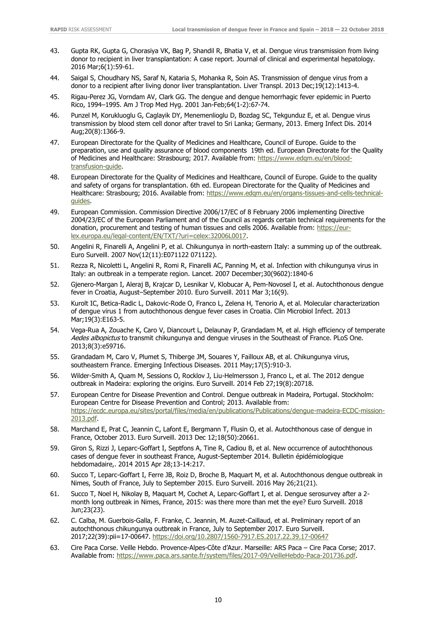- 43. Gupta RK, Gupta G, Chorasiya VK, Bag P, Shandil R, Bhatia V, et al. Dengue virus transmission from living donor to recipient in liver transplantation: A case report. Journal of clinical and experimental hepatology. 2016 Mar;6(1):59-61.
- 44. Saigal S, Choudhary NS, Saraf N, Kataria S, Mohanka R, Soin AS. Transmission of dengue virus from a donor to a recipient after living donor liver transplantation. Liver Transpl. 2013 Dec;19(12):1413-4.
- 45. Rigau-Perez JG, Vorndam AV, Clark GG. The dengue and dengue hemorrhagic fever epidemic in Puerto Rico, 1994–1995. Am J Trop Med Hyg. 2001 Jan-Feb;64(1-2):67-74.
- 46. Punzel M, Korukluoglu G, Caglayik DY, Menemenlioglu D, Bozdag SC, Tekgunduz E, et al. Dengue virus transmission by blood stem cell donor after travel to Sri Lanka; Germany, 2013. Emerg Infect Dis. 2014 Aug;20(8):1366-9.
- 47. European Directorate for the Quality of Medicines and Healthcare, Council of Europe. Guide to the preparation, use and quality assurance of blood components 19th ed. European Directorate for the Quality of Medicines and Healthcare: Strasbourg; 2017. Available from: [https://www.edqm.eu/en/blood](https://www.edqm.eu/en/blood-transfusion-guide)[transfusion-guide.](https://www.edqm.eu/en/blood-transfusion-guide)
- 48. European Directorate for the Quality of Medicines and Healthcare, Council of Europe. Guide to the quality and safety of organs for transplantation. 6th ed. European Directorate for the Quality of Medicines and Healthcare: Strasbourg; 2016. Available from: [https://www.edqm.eu/en/organs-tissues-and-cells-technical](https://www.edqm.eu/en/organs-tissues-and-cells-technical-guides)[guides.](https://www.edqm.eu/en/organs-tissues-and-cells-technical-guides)
- 49. European Commission. Commission Directive 2006/17/EC of 8 February 2006 implementing Directive 2004/23/EC of the European Parliament and of the Council as regards certain technical requirements for the donation, procurement and testing of human tissues and cells 2006. Available from: [https://eur](https://eur-lex.europa.eu/legal-content/EN/TXT/?uri=celex:32006L0017)[lex.europa.eu/legal-content/EN/TXT/?uri=celex:32006L0017.](https://eur-lex.europa.eu/legal-content/EN/TXT/?uri=celex:32006L0017)
- 50. Angelini R, Finarelli A, Angelini P, et al. Chikungunya in north-eastern Italy: a summing up of the outbreak. Euro Surveill. 2007 Nov(12(11):E071122 071122).
- 51. Rezza R, Nicoletti L, Angelini R, Romi R, Finarelli AC, Panning M, et al. Infection with chikungunya virus in Italy: an outbreak in a temperate region. Lancet. 2007 December;30(9602):1840-6
- 52. Gjenero-Margan I, Aleraj B, Krajcar D, Lesnikar V, Klobucar A, Pem-Novosel I, et al. Autochthonous dengue fever in Croatia, August–September 2010. Euro Surveill. 2011 Mar 3;16(9).
- 53. Kurolt IC, Betica-Radic L, Dakovic-Rode O, Franco L, Zelena H, Tenorio A, et al. Molecular characterization of dengue virus 1 from autochthonous dengue fever cases in Croatia. Clin Microbiol Infect. 2013 Mar;19(3):E163-5.
- 54. Vega-Rua A, Zouache K, Caro V, Diancourt L, Delaunay P, Grandadam M, et al. High efficiency of temperate Aedes albopictus to transmit chikungunya and dengue viruses in the Southeast of France. PLoS One. 2013;8(3):e59716.
- 55. Grandadam M, Caro V, Plumet S, Thiberge JM, Souares Y, Failloux AB, et al. Chikungunya virus, southeastern France. Emerging Infectious Diseases. 2011 May;17(5):910-3.
- 56. Wilder-Smith A, Quam M, Sessions O, Rocklov J, Liu-Helmersson J, Franco L, et al. The 2012 dengue outbreak in Madeira: exploring the origins. Euro Surveill. 2014 Feb 27;19(8):20718.
- 57. European Centre for Disease Prevention and Control. Dengue outbreak in Madeira, Portugal. Stockholm: European Centre for Disease Prevention and Control; 2013. Available from: [https://ecdc.europa.eu/sites/portal/files/media/en/publications/Publications/dengue-madeira-ECDC-mission-](https://ecdc.europa.eu/sites/portal/files/media/en/publications/Publications/dengue-madeira-ECDC-mission-2013.pdf)[2013.pdf.](https://ecdc.europa.eu/sites/portal/files/media/en/publications/Publications/dengue-madeira-ECDC-mission-2013.pdf)
- 58. Marchand E, Prat C, Jeannin C, Lafont E, Bergmann T, Flusin O, et al. Autochthonous case of dengue in France, October 2013. Euro Surveill. 2013 Dec 12;18(50):20661.
- 59. Giron S, Rizzi J, Leparc-Goffart I, Septfons A, Tine R, Cadiou B, et al. New occurrence of autochthonous cases of dengue fever in southeast France, August-September 2014. Bulletin épidémiologique hebdomadaire,. 2014 2015 Apr 28;13-14:217.
- 60. Succo T, Leparc-Goffart I, Ferre JB, Roiz D, Broche B, Maquart M, et al. Autochthonous dengue outbreak in Nimes, South of France, July to September 2015. Euro Surveill. 2016 May 26;21(21).
- 61. Succo T, Noel H, Nikolay B, Maquart M, Cochet A, Leparc-Goffart I, et al. Dengue serosurvey after a 2 month long outbreak in Nimes, France, 2015: was there more than met the eye? Euro Surveill. 2018 Jun;23(23).
- 62. C. Calba, M. Guerbois-Galla, F. Franke, C. Jeannin, M. Auzet-Caillaud, et al. Preliminary report of an autochthonous chikungunya outbreak in France, July to September 2017. Euro Surveill. 2017;22(39):pii=17-00647. https://doi.org/10.2807/1560-7917.ES.2017.22.39.17-00647
- 63. Cire Paca Corse. Veille Hebdo. Provence-Alpes-Côte d'Azur. Marseille: ARS Paca Cire Paca Corse; 2017. Available from: [https://www.paca.ars.sante.fr/system/files/2017-09/VeilleHebdo-Paca-201736.pdf.](https://www.paca.ars.sante.fr/system/files/2017-09/VeilleHebdo-Paca-201736.pdf)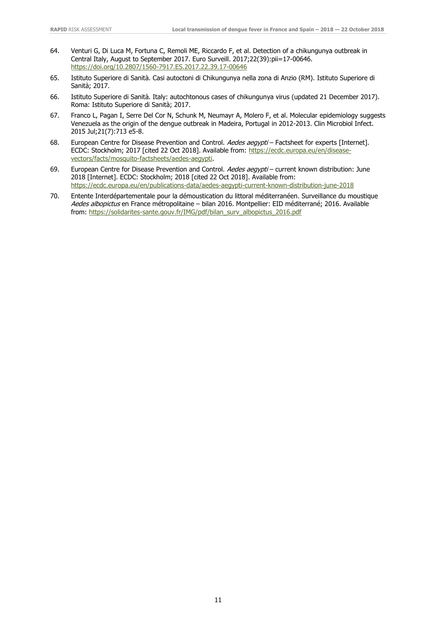- 64. Venturi G, Di Luca M, Fortuna C, Remoli ME, Riccardo F, et al. Detection of a chikungunya outbreak in Central Italy, August to September 2017. Euro Surveill. 2017;22(39):pii=17-00646. <https://doi.org/10.2807/1560-7917.ES.2017.22.39.17-00646>
- 65. Istituto Superiore di Sanità. Casi autoctoni di Chikungunya nella zona di Anzio (RM). Istituto Superiore di Sanità; 2017.
- 66. Istituto Superiore di Sanità. Italy: autochtonous cases of chikungunya virus (updated 21 December 2017). Roma: Istituto Superiore di Sanità; 2017.
- 67. Franco L, Pagan I, Serre Del Cor N, Schunk M, Neumayr A, Molero F, et al. Molecular epidemiology suggests Venezuela as the origin of the dengue outbreak in Madeira, Portugal in 2012-2013. Clin Microbiol Infect. 2015 Jul;21(7):713 e5-8.
- 68. European Centre for Disease Prevention and Control. Aedes aegypti Factsheet for experts [Internet]. ECDC: Stockholm; 2017 [cited 22 Oct 2018]. Available from: [https://ecdc.europa.eu/en/disease](https://ecdc.europa.eu/en/disease-vectors/facts/mosquito-factsheets/aedes-aegypti)[vectors/facts/mosquito-factsheets/aedes-aegypti.](https://ecdc.europa.eu/en/disease-vectors/facts/mosquito-factsheets/aedes-aegypti)
- 69. European Centre for Disease Prevention and Control. Aedes aegypti current known distribution: June 2018 [Internet]. ECDC: Stockholm; 2018 [cited 22 Oct 2018]. Available from: <https://ecdc.europa.eu/en/publications-data/aedes-aegypti-current-known-distribution-june-2018>
- 70. Entente Interdépartementale pour la démoustication du littoral méditerranéen. Surveillance du moustique Aedes albopictus en France métropolitaine – bilan 2016. Montpellier: EID méditerrané; 2016. Available from: [https://solidarites-sante.gouv.fr/IMG/pdf/bilan\\_surv\\_albopictus\\_2016.pdf](https://solidarites-sante.gouv.fr/IMG/pdf/bilan_surv_albopictus_2016.pdf)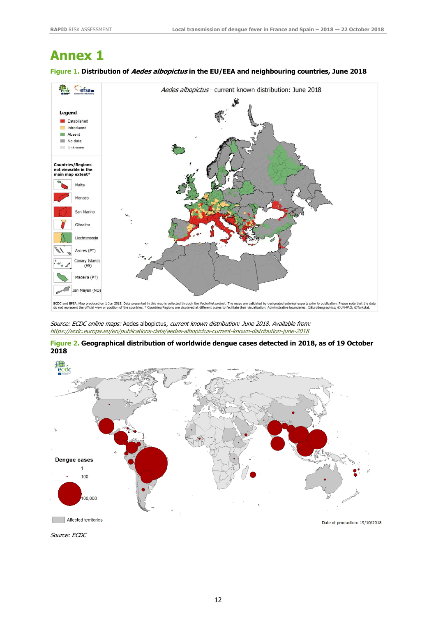### **Annex 1**

#### **Figure 1. Distribution of Aedes albopictus in the EU/EEA and neighbouring countries, June 2018**



Source: ECDC online maps: Aedes albopictus, current known distribution: June 2018. Available from: <https://ecdc.europa.eu/en/publications-data/aedes-albopictus-current-known-distribution-june-2018>

**Figure 2. Geographical distribution of worldwide dengue cases detected in 2018, as of 19 October 2018**





12